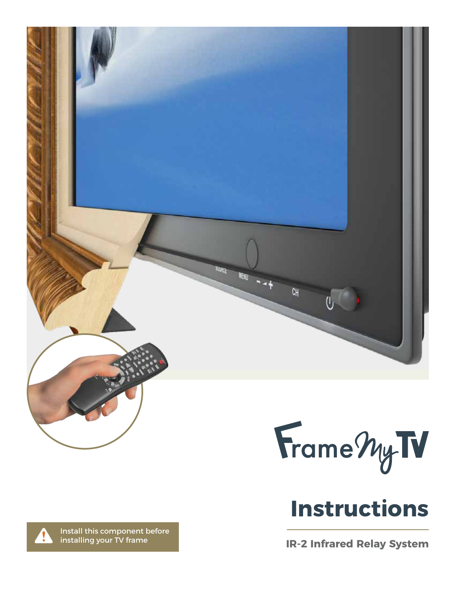

Frame My IV

**IR-2 Infrared Relay System**

Install this component before installing your TV frame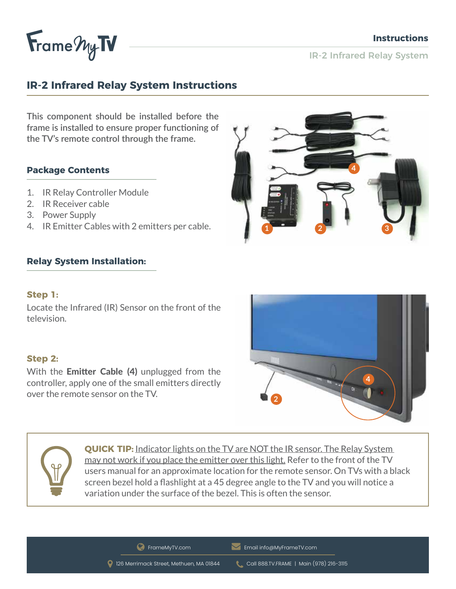

IR-2 Infrared Relay System

# **IR-2 Infrared Relay System Instructions**

**This component should be installed before the frame is installed to ensure proper functioning of the TV's remote control through the frame.** 

## **Package Contents**

- 1. IR Relay Controller Module
- 2. IR Receiver cable
- 3. Power Supply
- 4. IR Emitter Cables with 2 emitters per cable.

## **Relay System Installation:**

#### **Step 1:**

Locate the Infrared (IR) Sensor on the front of the television.

#### **Step 2:**

With the **Emitter Cable (4)** unplugged from the controller, apply one of the small emitters directly over the remote sensor on the TV.





**QUICK TIP:** Indicator lights on the TV are NOT the IR sensor. The Relay System may not work if you place the emitter over this light. Refer to the front of the TV users manual for an approximate location for the remote sensor. On TVs with a black screen bezel hold a flashlight at a 45 degree angle to the TV and you will notice a variation under the surface of the bezel. This is often the sensor.

**C** FrameMyTV.com **Email info@MyFrameTV.com** 

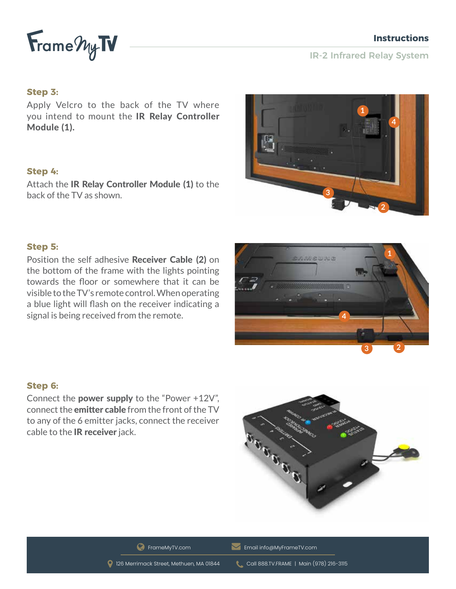

**1**

**3 2**

IR-2 Infrared Relay System

#### **Step 3:**

Apply Velcro to the back of the TV where you intend to mount the IR Relay Controller Module (1).

#### **Step 4:**

Attach the **IR Relay Controller Module (1)** to the back of the TV as shown.



## **Step 5:**

Position the self adhesive Receiver Cable (2) on the bottom of the frame with the lights pointing towards the floor or somewhere that it can be visible to the TV's remote control. When operating a blue light will flash on the receiver indicating a signal is being received from the remote.

#### **Step 6:**

Connect the power supply to the "Power +12V", connect the emitter cable from the front of the TV to any of the 6 emitter jacks, connect the receiver cable to the IR receiver jack.



**4**

**SVIMSWING** 

**C** FrameMyTV.com **Email info@MyFrameTV.com**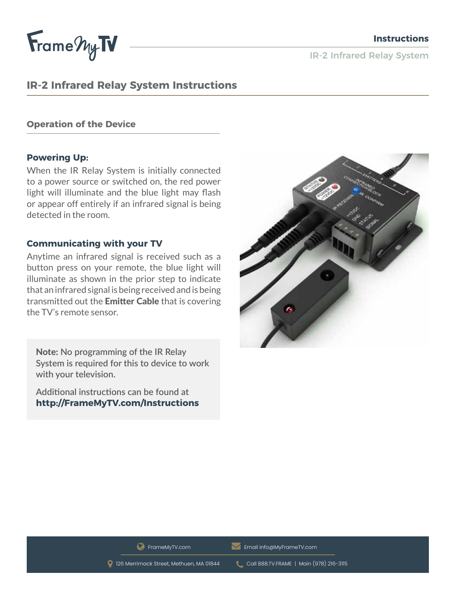

IR-2 Infrared Relay System

# **IR-2 Infrared Relay System Instructions**

#### **Operation of the Device**

#### **Powering Up:**

When the IR Relay System is initially connected to a power source or switched on, the red power light will illuminate and the blue light may flash or appear off entirely if an infrared signal is being detected in the room.

#### **Communicating with your TV**

Anytime an infrared signal is received such as a button press on your remote, the blue light will illuminate as shown in the prior step to indicate that an infrared signal is being received and is being transmitted out the Emitter Cable that is covering the TV's remote sensor.

Note: **No programming of the IR Relay System is required for this to device to work with your television.**

**Additional instructions can be found at http://FrameMyTV.com/Instructions**